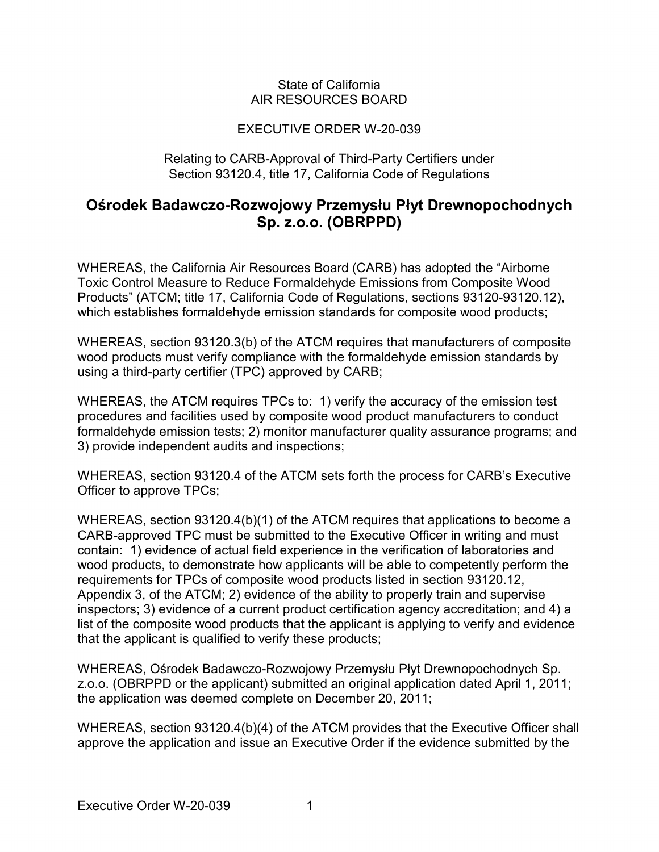### State of California AIR RESOURCES BOARD

## EXECUTIVE ORDER W-20-039

#### Relating to CARB-Approval of Third-Party Certifiers under Section 93120.4, title 17, California Code of Regulations

# **Sp. z.o.o. (OBRPPD) Ośrodek Badawczo-Rozwojowy Przemysłu Płyt Drewnopochodnych**

WHEREAS, the California Air Resources Board (CARB) has adopted the "Airborne Toxic Control Measure to Reduce Formaldehyde Emissions from Composite Wood Products" (ATCM; title 17, California Code of Regulations, sections 93120-93120.12), which establishes formaldehyde emission standards for composite wood products;

 using a third-party certifier (TPC) approved by CARB; WHEREAS, section 93120.3(b) of the ATCM requires that manufacturers of composite wood products must verify compliance with the formaldehyde emission standards by

 WHEREAS, the ATCM requires TPCs to: 1) verify the accuracy of the emission test formaldehyde emission tests; 2) monitor manufacturer quality assurance programs; and procedures and facilities used by composite wood product manufacturers to conduct 3) provide independent audits and inspections;

 WHEREAS, section 93120.4 of the ATCM sets forth the process for CARB's Executive Officer to approve TPCs;

 CARB-approved TPC must be submitted to the Executive Officer in writing and must contain: 1) evidence of actual field experience in the verification of laboratories and WHEREAS, section 93120.4(b)(1) of the ATCM requires that applications to become a wood products, to demonstrate how applicants will be able to competently perform the requirements for TPCs of composite wood products listed in section 93120.12, Appendix 3, of the ATCM; 2) evidence of the ability to properly train and supervise inspectors; 3) evidence of a current product certification agency accreditation; and 4) a list of the composite wood products that the applicant is applying to verify and evidence that the applicant is qualified to verify these products;

WHEREAS, Ośrodek Badawczo-Rozwojowy Przemysłu Płyt Drewnopochodnych Sp. z.o.o. (OBRPPD or the applicant) submitted an original application dated April 1, 2011; the application was deemed complete on December 20, 2011;

WHEREAS, section 93120.4(b)(4) of the ATCM provides that the Executive Officer shall approve the application and issue an Executive Order if the evidence submitted by the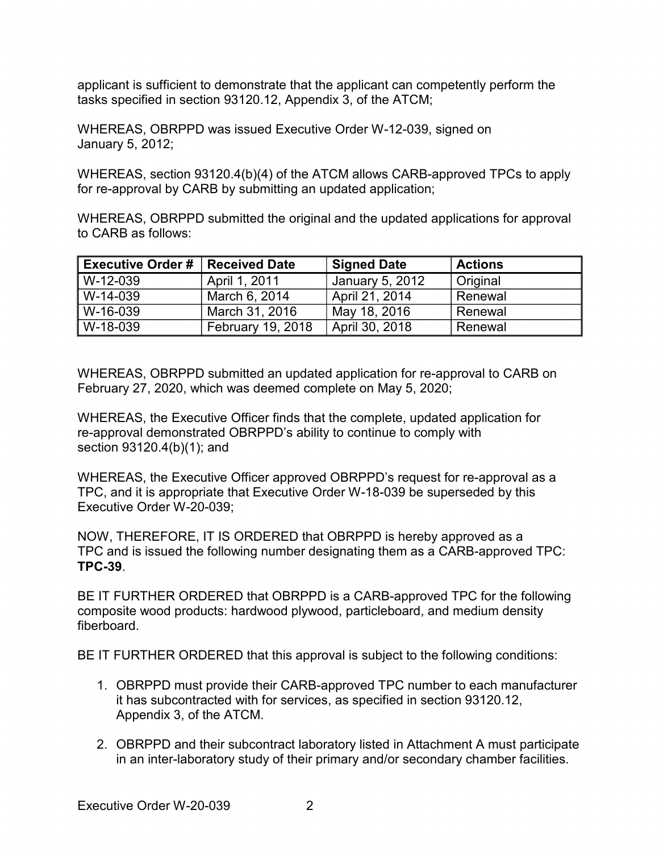tasks specified in section 93120.12, Appendix 3, of the ATCM; applicant is sufficient to demonstrate that the applicant can competently perform the

WHEREAS, OBRPPD was issued Executive Order W-12-039, signed on January 5, 2012;

WHEREAS, section 93120.4(b)(4) of the ATCM allows CARB-approved TPCs to apply for re-approval by CARB by submitting an updated application;

 WHEREAS, OBRPPD submitted the original and the updated applications for approval to CARB as follows:

| Executive Order #   Received Date |                   | <b>Signed Date</b> | <b>Actions</b> |
|-----------------------------------|-------------------|--------------------|----------------|
| I W-12-039                        | April 1, 2011     | January 5, 2012    | Original       |
| l W-14-039                        | March 6, 2014     | April 21, 2014     | Renewal        |
| NV-16-039                         | March 31, 2016    | May 18, 2016       | Renewal        |
| NV-18-039                         | February 19, 2018 | April 30, 2018     | Renewal        |

WHEREAS, OBRPPD submitted an updated application for re-approval to CARB on February 27, 2020, which was deemed complete on May 5, 2020;

section 93120.4(b)(1); and WHEREAS, the Executive Officer finds that the complete, updated application for re-approval demonstrated OBRPPD's ability to continue to comply with

WHEREAS, the Executive Officer approved OBRPPD's request for re-approval as a TPC, and it is appropriate that Executive Order W-18-039 be superseded by this Executive Order W-20-039;

 TPC and is issued the following number designating them as a CARB-approved TPC: NOW, THEREFORE, IT IS ORDERED that OBRPPD is hereby approved as a **TPC-39**.

 BE IT FURTHER ORDERED that OBRPPD is a CARB-approved TPC for the following composite wood products: hardwood plywood, particleboard, and medium density fiberboard.

BE IT FURTHER ORDERED that this approval is subject to the following conditions:

- 1. OBRPPD must provide their CARB-approved TPC number to each manufacturer it has subcontracted with for services, as specified in section 93120.12, Appendix 3, of the ATCM.
- 2. OBRPPD and their subcontract laboratory listed in Attachment A must participate in an inter-laboratory study of their primary and/or secondary chamber facilities.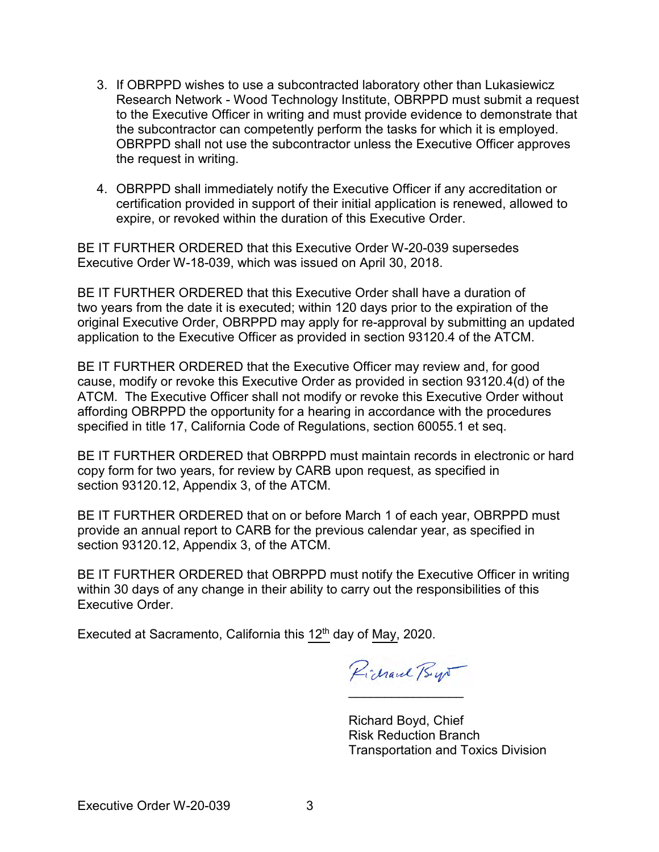- Research Network Wood Technology Institute, OBRPPD must submit a request the subcontractor can competently perform the tasks for which it is employed. the request in writing. 3. If OBRPPD wishes to use a subcontracted laboratory other than Lukasiewicz to the Executive Officer in writing and must provide evidence to demonstrate that OBRPPD shall not use the subcontractor unless the Executive Officer approves
- expire, or revoked within the duration of this Executive Order. 4. OBRPPD shall immediately notify the Executive Officer if any accreditation or certification provided in support of their initial application is renewed, allowed to

 BE IT FURTHER ORDERED that this Executive Order W-20-039 supersedes Executive Order W-18-039, which was issued on April 30, 2018.

 BE IT FURTHER ORDERED that this Executive Order shall have a duration of two years from the date it is executed; within 120 days prior to the expiration of the original Executive Order, OBRPPD may apply for re-approval by submitting an updated application to the Executive Officer as provided in section 93120.4 of the ATCM.

 BE IT FURTHER ORDERED that the Executive Officer may review and, for good cause, modify or revoke this Executive Order as provided in section 93120.4(d) of the ATCM. The Executive Officer shall not modify or revoke this Executive Order without affording OBRPPD the opportunity for a hearing in accordance with the procedures specified in title 17, California Code of Regulations, section 60055.1 et seq.

BE IT FURTHER ORDERED that OBRPPD must maintain records in electronic or hard copy form for two years, for review by CARB upon request, as specified in section 93120.12, Appendix 3, of the ATCM.

 BE IT FURTHER ORDERED that on or before March 1 of each year, OBRPPD must provide an annual report to CARB for the previous calendar year, as specified in section 93120.12, Appendix 3, of the ATCM.

BE IT FURTHER ORDERED that OBRPPD must notify the Executive Officer in writing within 30 days of any change in their ability to carry out the responsibilities of this Executive Order.

Executed at Sacramento, California this 12<sup>th</sup> day of May, 2020.

Pichaul Bys  $\mathcal{L}$ 

 Risk Reduction Branch Richard Boyd, Chief Transportation and Toxics Division